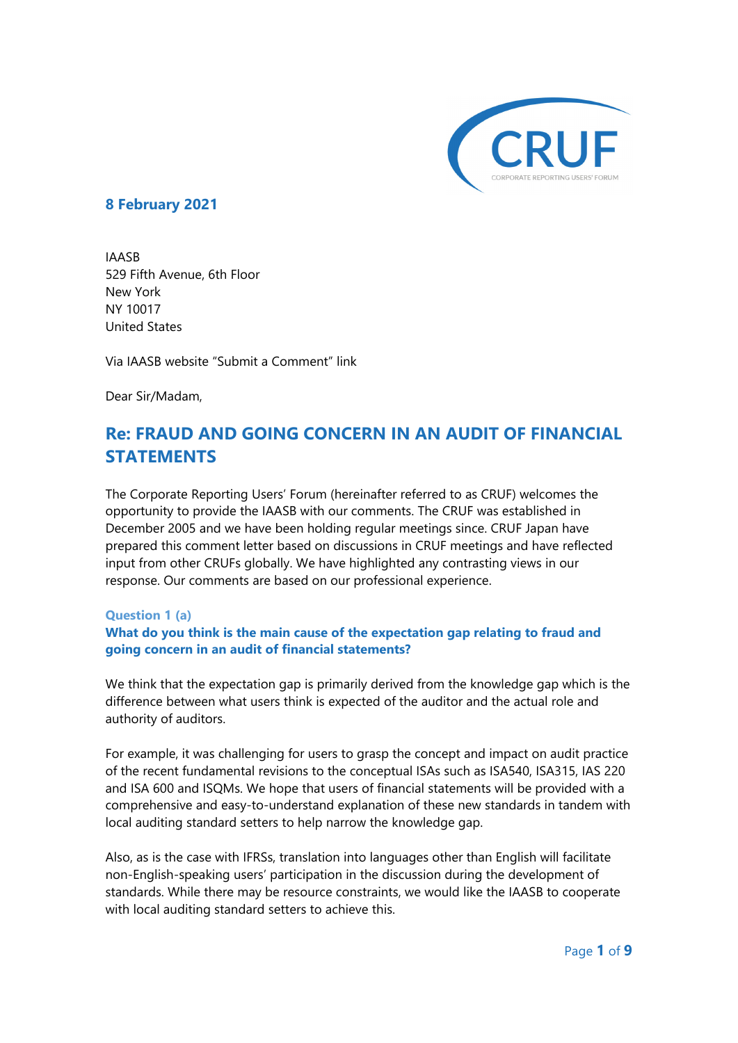

## **8 February 2021**

IAASB 529 Fifth Avenue, 6th Floor New York NY 10017 United States

Via IAASB website "Submit a Comment" link

Dear Sir/Madam,

# **Re: FRAUD AND GOING CONCERN IN AN AUDIT OF FINANCIAL STATEMENTS**

The Corporate Reporting Users' Forum (hereinafter referred to as CRUF) welcomes the opportunity to provide the IAASB with our comments. The CRUF was established in December 2005 and we have been holding regular meetings since. CRUF Japan have prepared this comment letter based on discussions in CRUF meetings and have reflected input from other CRUFs globally. We have highlighted any contrasting views in our response. Our comments are based on our professional experience.

#### **Question 1 (a)**

## **What do you think is the main cause of the expectation gap relating to fraud and going concern in an audit of financial statements?**

We think that the expectation gap is primarily derived from the knowledge gap which is the difference between what users think is expected of the auditor and the actual role and authority of auditors.

For example, it was challenging for users to grasp the concept and impact on audit practice of the recent fundamental revisions to the conceptual ISAs such as ISA540, ISA315, IAS 220 and ISA 600 and ISQMs. We hope that users of financial statements will be provided with a comprehensive and easy-to-understand explanation of these new standards in tandem with local auditing standard setters to help narrow the knowledge gap.

Also, as is the case with IFRSs, translation into languages other than English will facilitate non-English-speaking users' participation in the discussion during the development of standards. While there may be resource constraints, we would like the IAASB to cooperate with local auditing standard setters to achieve this.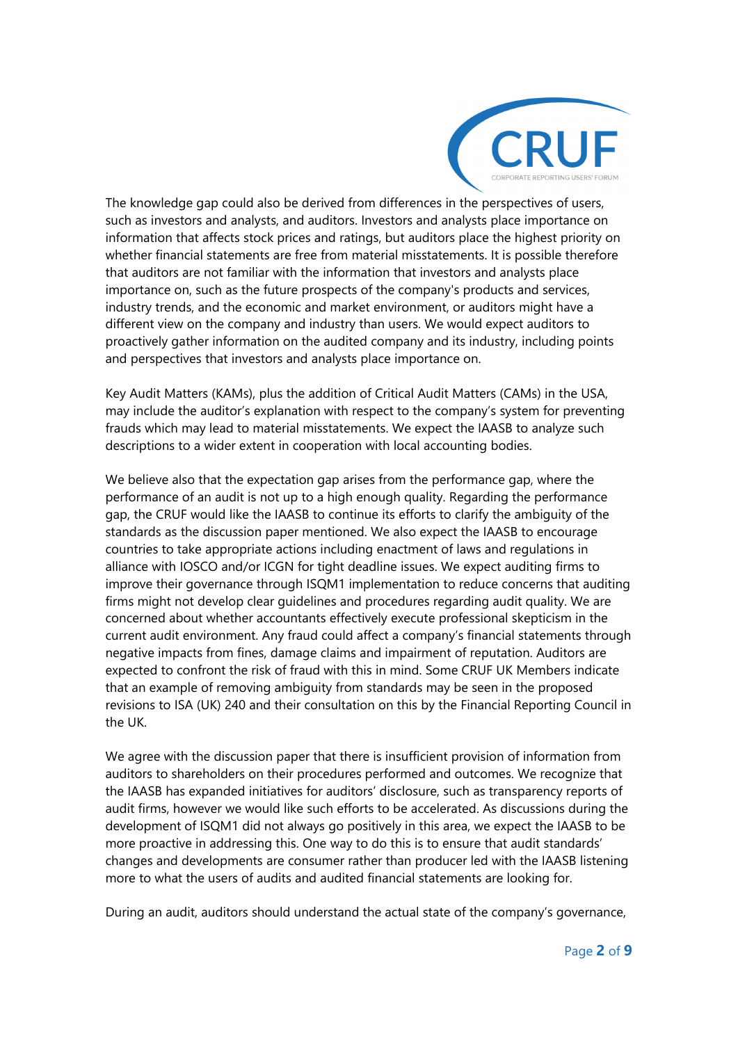

The knowledge gap could also be derived from differences in the perspectives of users, such as investors and analysts, and auditors. Investors and analysts place importance on information that affects stock prices and ratings, but auditors place the highest priority on whether financial statements are free from material misstatements. It is possible therefore that auditors are not familiar with the information that investors and analysts place importance on, such as the future prospects of the company's products and services, industry trends, and the economic and market environment, or auditors might have a different view on the company and industry than users. We would expect auditors to proactively gather information on the audited company and its industry, including points and perspectives that investors and analysts place importance on.

Key Audit Matters (KAMs), plus the addition of Critical Audit Matters (CAMs) in the USA, may include the auditor's explanation with respect to the company's system for preventing frauds which may lead to material misstatements. We expect the IAASB to analyze such descriptions to a wider extent in cooperation with local accounting bodies.

We believe also that the expectation gap arises from the performance gap, where the performance of an audit is not up to a high enough quality. Regarding the performance gap, the CRUF would like the IAASB to continue its efforts to clarify the ambiguity of the standards as the discussion paper mentioned. We also expect the IAASB to encourage countries to take appropriate actions including enactment of laws and regulations in alliance with IOSCO and/or ICGN for tight deadline issues. We expect auditing firms to improve their governance through ISQM1 implementation to reduce concerns that auditing firms might not develop clear guidelines and procedures regarding audit quality. We are concerned about whether accountants effectively execute professional skepticism in the current audit environment. Any fraud could affect a company's financial statements through negative impacts from fines, damage claims and impairment of reputation. Auditors are expected to confront the risk of fraud with this in mind. Some CRUF UK Members indicate that an example of removing ambiguity from standards may be seen in the proposed revisions to ISA (UK) 240 and their consultation on this by the Financial Reporting Council in the UK.

We agree with the discussion paper that there is insufficient provision of information from auditors to shareholders on their procedures performed and outcomes. We recognize that the IAASB has expanded initiatives for auditors' disclosure, such as transparency reports of audit firms, however we would like such efforts to be accelerated. As discussions during the development of ISQM1 did not always go positively in this area, we expect the IAASB to be more proactive in addressing this. One way to do this is to ensure that audit standards' changes and developments are consumer rather than producer led with the IAASB listening more to what the users of audits and audited financial statements are looking for.

During an audit, auditors should understand the actual state of the company's governance,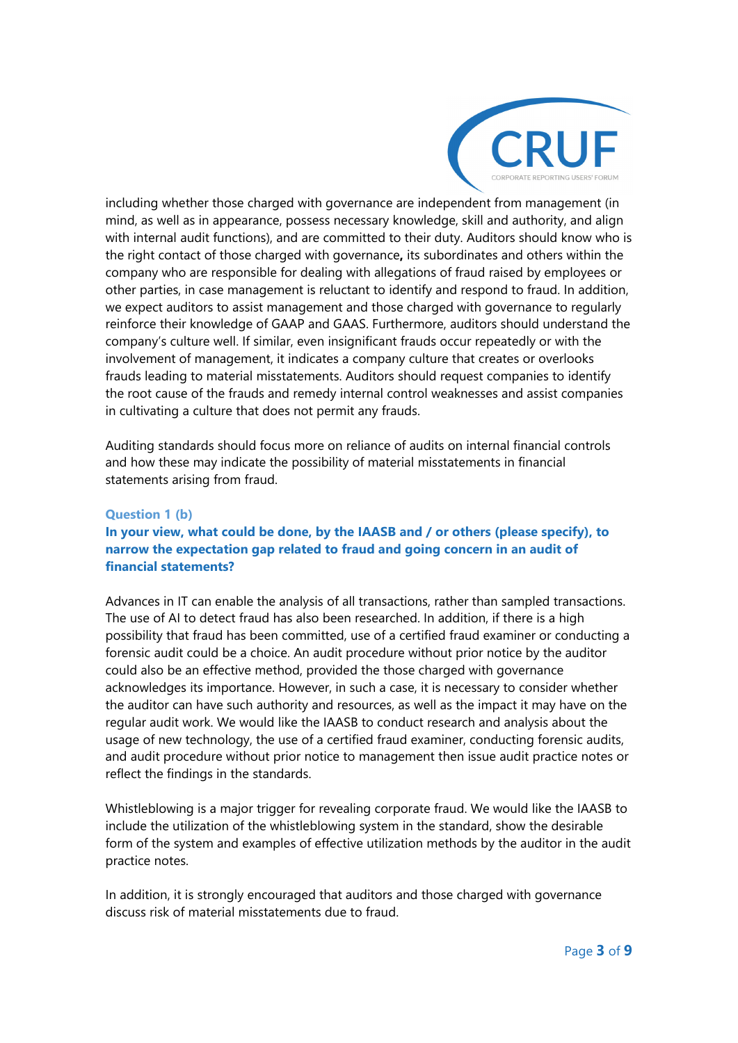

including whether those charged with governance are independent from management (in mind, as well as in appearance, possess necessary knowledge, skill and authority, and align with internal audit functions), and are committed to their duty. Auditors should know who is the right contact of those charged with governance**,** its subordinates and others within the company who are responsible for dealing with allegations of fraud raised by employees or other parties, in case management is reluctant to identify and respond to fraud. In addition, we expect auditors to assist management and those charged with governance to regularly reinforce their knowledge of GAAP and GAAS. Furthermore, auditors should understand the company's culture well. If similar, even insignificant frauds occur repeatedly or with the involvement of management, it indicates a company culture that creates or overlooks frauds leading to material misstatements. Auditors should request companies to identify the root cause of the frauds and remedy internal control weaknesses and assist companies in cultivating a culture that does not permit any frauds.

Auditing standards should focus more on reliance of audits on internal financial controls and how these may indicate the possibility of material misstatements in financial statements arising from fraud.

#### **Question 1 (b)**

## **In your view, what could be done, by the IAASB and / or others (please specify), to narrow the expectation gap related to fraud and going concern in an audit of financial statements?**

Advances in IT can enable the analysis of all transactions, rather than sampled transactions. The use of AI to detect fraud has also been researched. In addition, if there is a high possibility that fraud has been committed, use of a certified fraud examiner or conducting a forensic audit could be a choice. An audit procedure without prior notice by the auditor could also be an effective method, provided the those charged with governance acknowledges its importance. However, in such a case, it is necessary to consider whether the auditor can have such authority and resources, as well as the impact it may have on the regular audit work. We would like the IAASB to conduct research and analysis about the usage of new technology, the use of a certified fraud examiner, conducting forensic audits, and audit procedure without prior notice to management then issue audit practice notes or reflect the findings in the standards.

Whistleblowing is a major trigger for revealing corporate fraud. We would like the IAASB to include the utilization of the whistleblowing system in the standard, show the desirable form of the system and examples of effective utilization methods by the auditor in the audit practice notes.

In addition, it is strongly encouraged that auditors and those charged with governance discuss risk of material misstatements due to fraud.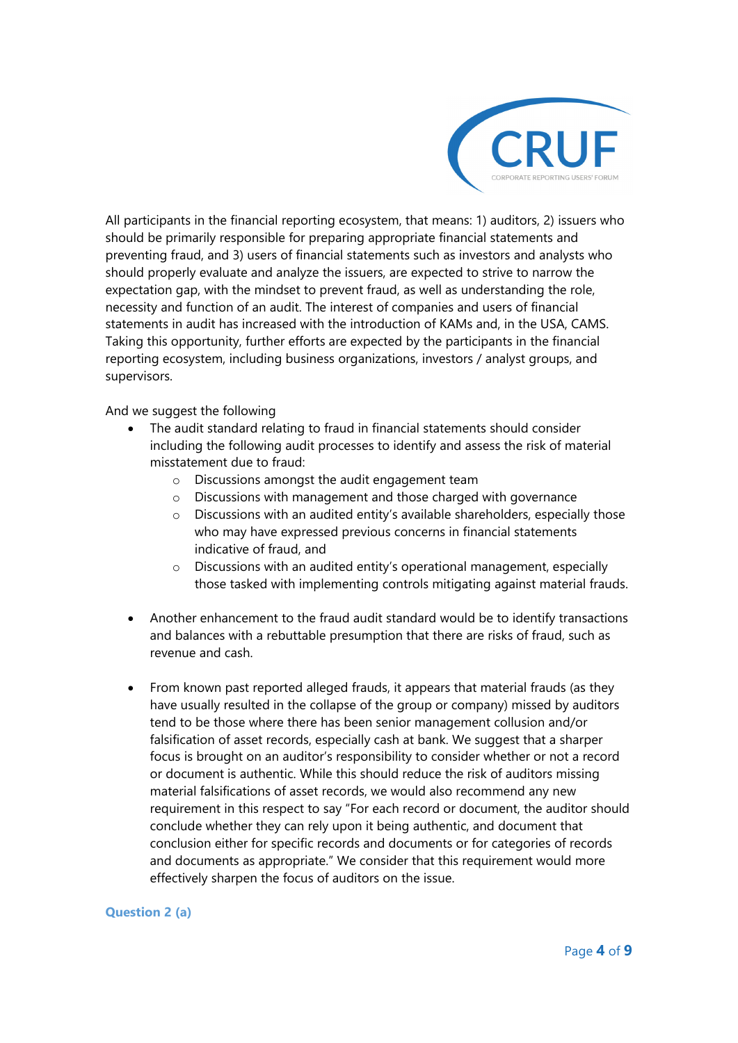

All participants in the financial reporting ecosystem, that means: 1) auditors, 2) issuers who should be primarily responsible for preparing appropriate financial statements and preventing fraud, and 3) users of financial statements such as investors and analysts who should properly evaluate and analyze the issuers, are expected to strive to narrow the expectation gap, with the mindset to prevent fraud, as well as understanding the role, necessity and function of an audit. The interest of companies and users of financial statements in audit has increased with the introduction of KAMs and, in the USA, CAMS. Taking this opportunity, further efforts are expected by the participants in the financial reporting ecosystem, including business organizations, investors / analyst groups, and supervisors.

#### And we suggest the following

- The audit standard relating to fraud in financial statements should consider including the following audit processes to identify and assess the risk of material misstatement due to fraud:
	- o Discussions amongst the audit engagement team
	- o Discussions with management and those charged with governance
	- $\circ$  Discussions with an audited entity's available shareholders, especially those who may have expressed previous concerns in financial statements indicative of fraud, and
	- o Discussions with an audited entity's operational management, especially those tasked with implementing controls mitigating against material frauds.
- Another enhancement to the fraud audit standard would be to identify transactions and balances with a rebuttable presumption that there are risks of fraud, such as revenue and cash.
- From known past reported alleged frauds, it appears that material frauds (as they have usually resulted in the collapse of the group or company) missed by auditors tend to be those where there has been senior management collusion and/or falsification of asset records, especially cash at bank. We suggest that a sharper focus is brought on an auditor's responsibility to consider whether or not a record or document is authentic. While this should reduce the risk of auditors missing material falsifications of asset records, we would also recommend any new requirement in this respect to say "For each record or document, the auditor should conclude whether they can rely upon it being authentic, and document that conclusion either for specific records and documents or for categories of records and documents as appropriate." We consider that this requirement would more effectively sharpen the focus of auditors on the issue.

#### **Question 2 (a)**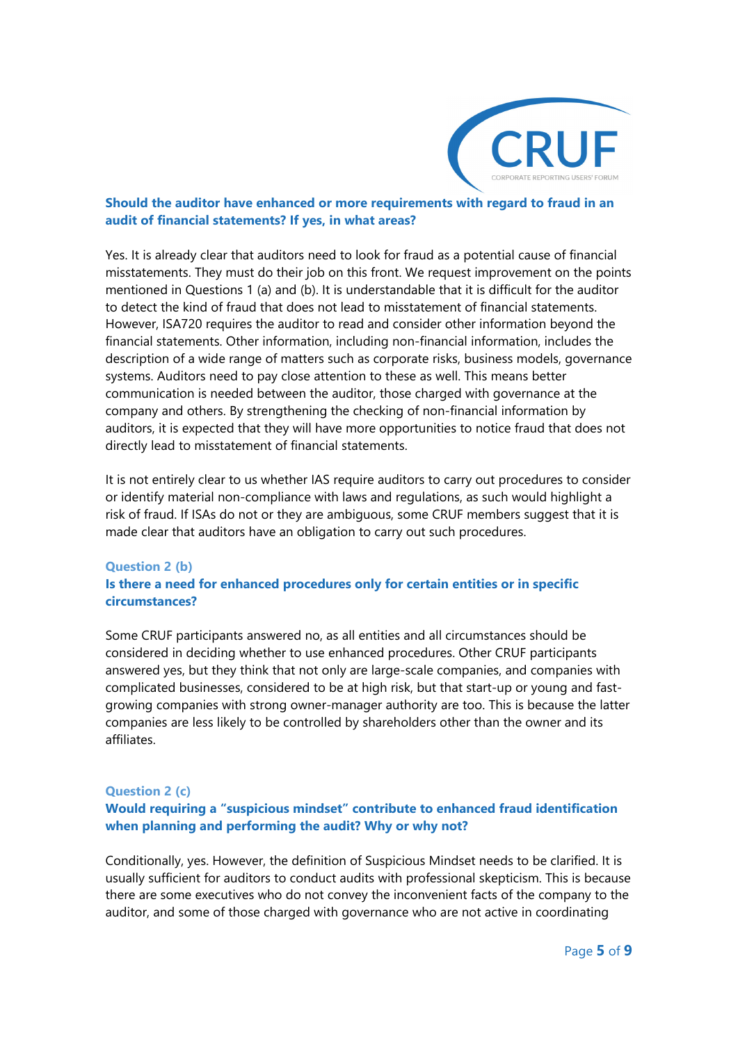

#### **Should the auditor have enhanced or more requirements with regard to fraud in an audit of financial statements? If yes, in what areas?**

Yes. It is already clear that auditors need to look for fraud as a potential cause of financial misstatements. They must do their job on this front. We request improvement on the points mentioned in Questions 1 (a) and (b). It is understandable that it is difficult for the auditor to detect the kind of fraud that does not lead to misstatement of financial statements. However, ISA720 requires the auditor to read and consider other information beyond the financial statements. Other information, including non-financial information, includes the description of a wide range of matters such as corporate risks, business models, governance systems. Auditors need to pay close attention to these as well. This means better communication is needed between the auditor, those charged with governance at the company and others. By strengthening the checking of non-financial information by auditors, it is expected that they will have more opportunities to notice fraud that does not directly lead to misstatement of financial statements.

It is not entirely clear to us whether IAS require auditors to carry out procedures to consider or identify material non-compliance with laws and regulations, as such would highlight a risk of fraud. If ISAs do not or they are ambiguous, some CRUF members suggest that it is made clear that auditors have an obligation to carry out such procedures.

#### **Question 2 (b)**

## **Is there a need for enhanced procedures only for certain entities or in specific circumstances?**

Some CRUF participants answered no, as all entities and all circumstances should be considered in deciding whether to use enhanced procedures. Other CRUF participants answered yes, but they think that not only are large-scale companies, and companies with complicated businesses, considered to be at high risk, but that start-up or young and fastgrowing companies with strong owner-manager authority are too. This is because the latter companies are less likely to be controlled by shareholders other than the owner and its affiliates.

#### **Question 2 (c)**

## **Would requiring a "suspicious mindset" contribute to enhanced fraud identification when planning and performing the audit? Why or why not?**

Conditionally, yes. However, the definition of Suspicious Mindset needs to be clarified. It is usually sufficient for auditors to conduct audits with professional skepticism. This is because there are some executives who do not convey the inconvenient facts of the company to the auditor, and some of those charged with governance who are not active in coordinating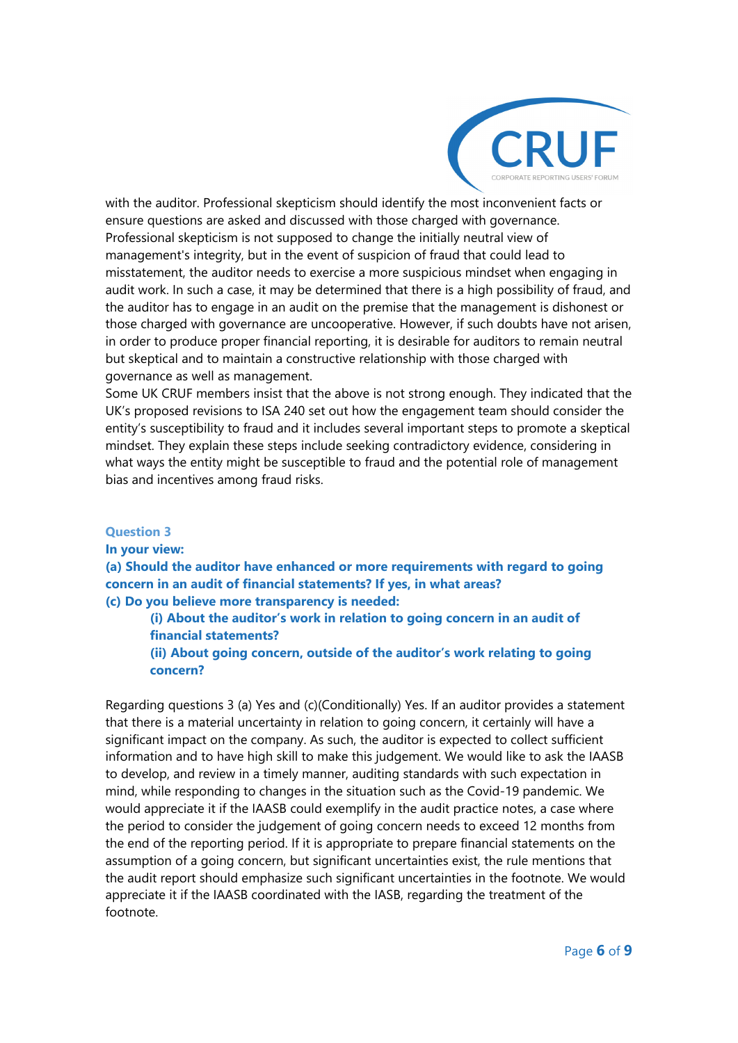

with the auditor. Professional skepticism should identify the most inconvenient facts or ensure questions are asked and discussed with those charged with governance. Professional skepticism is not supposed to change the initially neutral view of management's integrity, but in the event of suspicion of fraud that could lead to misstatement, the auditor needs to exercise a more suspicious mindset when engaging in audit work. In such a case, it may be determined that there is a high possibility of fraud, and the auditor has to engage in an audit on the premise that the management is dishonest or those charged with governance are uncooperative. However, if such doubts have not arisen, in order to produce proper financial reporting, it is desirable for auditors to remain neutral but skeptical and to maintain a constructive relationship with those charged with governance as well as management.

Some UK CRUF members insist that the above is not strong enough. They indicated that the UK's proposed revisions to ISA 240 set out how the engagement team should consider the entity's susceptibility to fraud and it includes several important steps to promote a skeptical mindset. They explain these steps include seeking contradictory evidence, considering in what ways the entity might be susceptible to fraud and the potential role of management bias and incentives among fraud risks.

#### **Question 3**

#### **In your view:**

**(a) Should the auditor have enhanced or more requirements with regard to going concern in an audit of financial statements? If yes, in what areas? (c) Do you believe more transparency is needed:** 

## **(i) About the auditor's work in relation to going concern in an audit of financial statements?**

**(ii) About going concern, outside of the auditor's work relating to going concern?** 

Regarding questions 3 (a) Yes and (c)(Conditionally) Yes. If an auditor provides a statement that there is a material uncertainty in relation to going concern, it certainly will have a significant impact on the company. As such, the auditor is expected to collect sufficient information and to have high skill to make this judgement. We would like to ask the IAASB to develop, and review in a timely manner, auditing standards with such expectation in mind, while responding to changes in the situation such as the Covid-19 pandemic. We would appreciate it if the IAASB could exemplify in the audit practice notes, a case where the period to consider the judgement of going concern needs to exceed 12 months from the end of the reporting period. If it is appropriate to prepare financial statements on the assumption of a going concern, but significant uncertainties exist, the rule mentions that the audit report should emphasize such significant uncertainties in the footnote. We would appreciate it if the IAASB coordinated with the IASB, regarding the treatment of the footnote.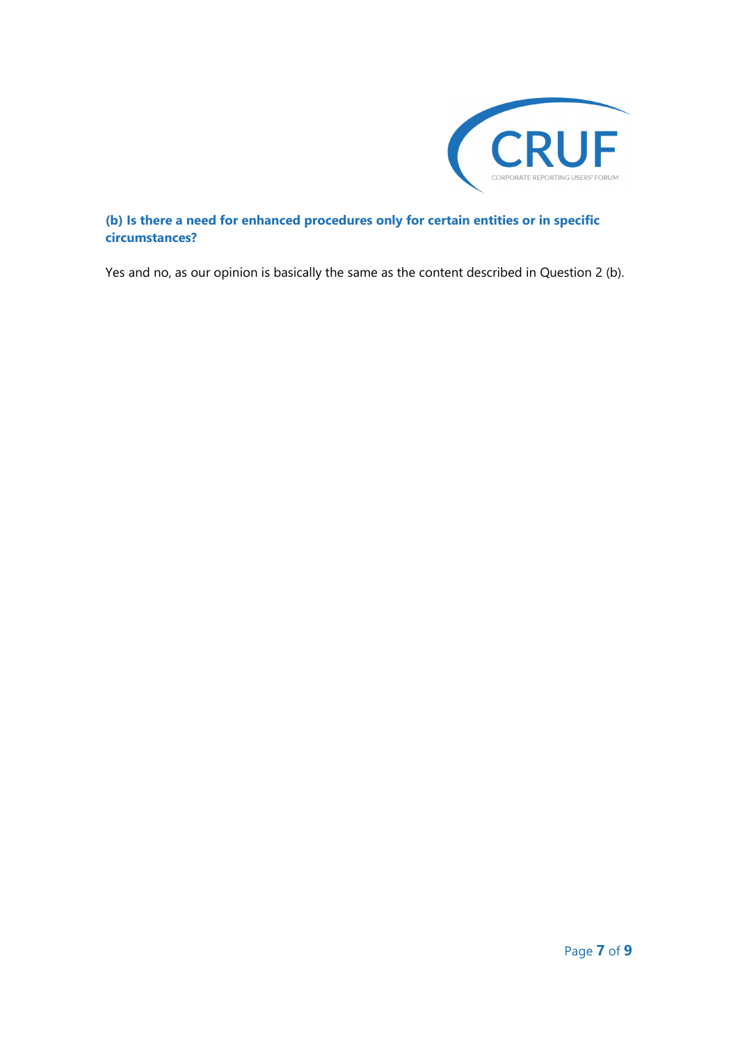

## **(b) Is there a need for enhanced procedures only for certain entities or in specific circumstances?**

Yes and no, as our opinion is basically the same as the content described in Question 2 (b).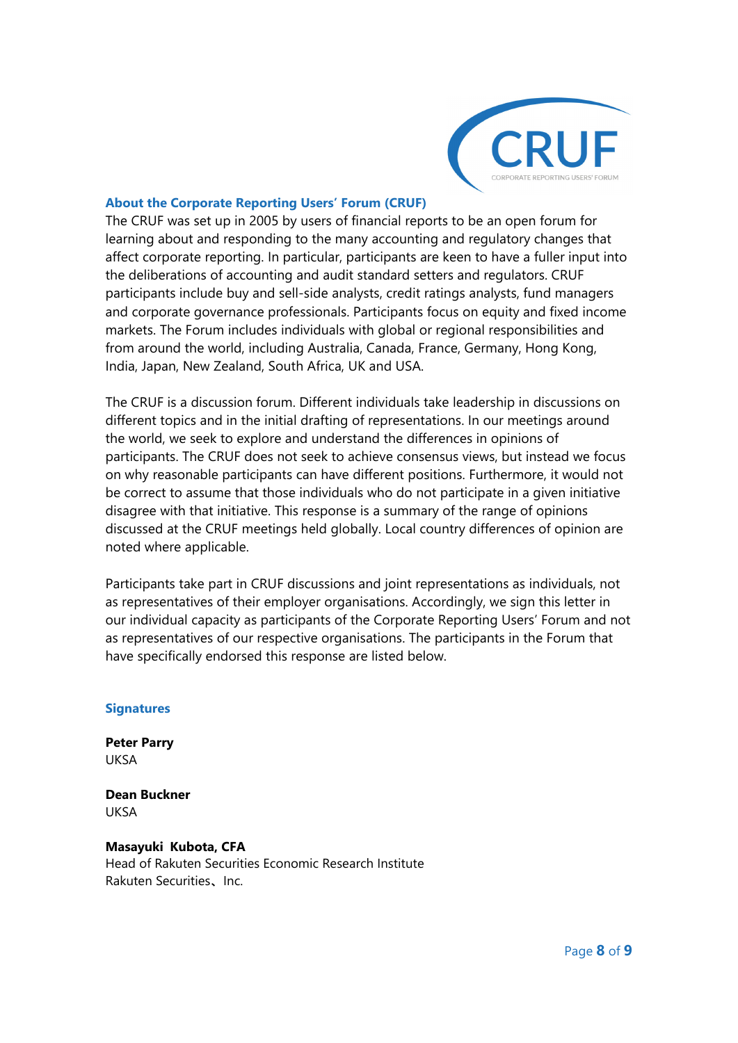

#### **About the Corporate Reporting Users' Forum (CRUF)**

The CRUF was set up in 2005 by users of financial reports to be an open forum for learning about and responding to the many accounting and regulatory changes that affect corporate reporting. In particular, participants are keen to have a fuller input into the deliberations of accounting and audit standard setters and regulators. CRUF participants include buy and sell-side analysts, credit ratings analysts, fund managers and corporate governance professionals. Participants focus on equity and fixed income markets. The Forum includes individuals with global or regional responsibilities and from around the world, including Australia, Canada, France, Germany, Hong Kong, India, Japan, New Zealand, South Africa, UK and USA.

The CRUF is a discussion forum. Different individuals take leadership in discussions on different topics and in the initial drafting of representations. In our meetings around the world, we seek to explore and understand the differences in opinions of participants. The CRUF does not seek to achieve consensus views, but instead we focus on why reasonable participants can have different positions. Furthermore, it would not be correct to assume that those individuals who do not participate in a given initiative disagree with that initiative. This response is a summary of the range of opinions discussed at the CRUF meetings held globally. Local country differences of opinion are noted where applicable.

Participants take part in CRUF discussions and joint representations as individuals, not as representatives of their employer organisations. Accordingly, we sign this letter in our individual capacity as participants of the Corporate Reporting Users' Forum and not as representatives of our respective organisations. The participants in the Forum that have specifically endorsed this response are listed below.

#### **Signatures**

**Peter Parry**  UKSA

**Dean Buckner**  UKSA

#### **Masayuki Kubota, CFA**  Head of Rakuten Securities Economic Research Institute Rakuten Securities、Inc.